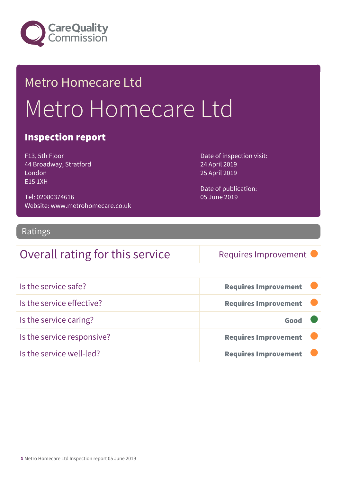

## Metro Homecare Ltd Metro Homecare Ltd

#### Inspection report

F13, 5th Floor 44 Broadway, Stratford London E15 1XH

Tel: 02080374616 Website: www.metrohomecare.co.uk Date of inspection visit: 24 April 2019 25 April 2019

Date of publication: 05 June 2019

#### Ratings

#### Overall rating for this service Requires Improvement

| Is the service safe?       | <b>Requires Improvement</b> |
|----------------------------|-----------------------------|
| Is the service effective?  | <b>Requires Improvement</b> |
| Is the service caring?     | Good                        |
| Is the service responsive? | <b>Requires Improvement</b> |
| Is the service well-led?   | <b>Requires Improvement</b> |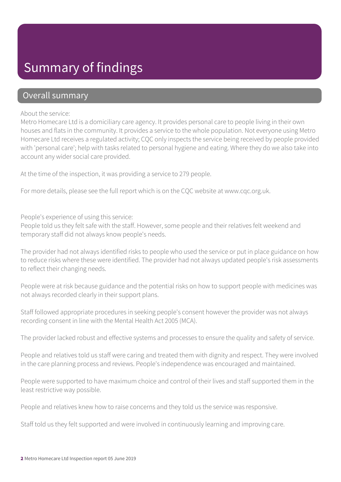### Summary of findings

#### Overall summary

About the service:

Metro Homecare Ltd is a domiciliary care agency. It provides personal care to people living in their own houses and flats in the community. It provides a service to the whole population. Not everyone using Metro Homecare Ltd receives a regulated activity; CQC only inspects the service being received by people provided with 'personal care'; help with tasks related to personal hygiene and eating. Where they do we also take into account any wider social care provided.

At the time of the inspection, it was providing a service to 279 people.

For more details, please see the full report which is on the CQC website at www.cqc.org.uk.

People's experience of using this service:

People told us they felt safe with the staff. However, some people and their relatives felt weekend and temporary staff did not always know people's needs.

The provider had not always identified risks to people who used the service or put in place guidance on how to reduce risks where these were identified. The provider had not always updated people's risk assessments to reflect their changing needs.

People were at risk because guidance and the potential risks on how to support people with medicines was not always recorded clearly in their support plans.

Staff followed appropriate procedures in seeking people's consent however the provider was not always recording consent in line with the Mental Health Act 2005 (MCA).

The provider lacked robust and effective systems and processes to ensure the quality and safety of service.

People and relatives told us staff were caring and treated them with dignity and respect. They were involved in the care planning process and reviews. People's independence was encouraged and maintained.

People were supported to have maximum choice and control of their lives and staff supported them in the least restrictive way possible.

People and relatives knew how to raise concerns and they told us the service was responsive.

Staff told us they felt supported and were involved in continuously learning and improving care.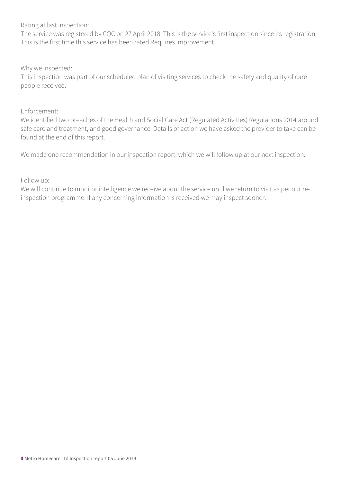Rating at last inspection:

The service was registered by CQC on 27 April 2018. This is the service's first inspection since its registration. This is the first time this service has been rated Requires Improvement.

Why we inspected:

This inspection was part of our scheduled plan of visiting services to check the safety and quality of care people received.

#### Enforcement:

We identified two breaches of the Health and Social Care Act (Regulated Activities) Regulations 2014 around safe care and treatment, and good governance. Details of action we have asked the provider to take can be found at the end of this report.

We made one recommendation in our inspection report, which we will follow up at our next inspection.

Follow up:

We will continue to monitor intelligence we receive about the service until we return to visit as per our reinspection programme. If any concerning information is received we may inspect sooner.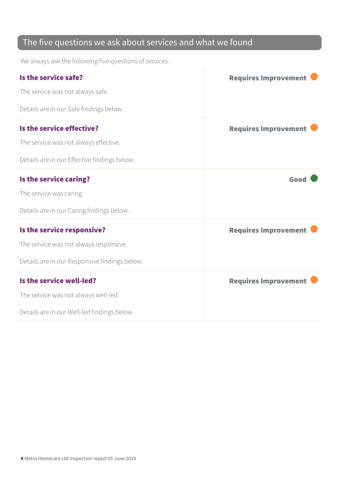#### The five questions we ask about services and what we found

We always ask the following five questions of services.

| Is the service safe?                          | <b>Requires Improvement</b> |
|-----------------------------------------------|-----------------------------|
| The service was not always safe.              |                             |
| Details are in our Safe findings below.       |                             |
| Is the service effective?                     | <b>Requires Improvement</b> |
| The service was not always effective.         |                             |
| Details are in our Effective findings below.  |                             |
| Is the service caring?                        | Good                        |
| The service was caring.                       |                             |
| Details are in our Caring findings below.     |                             |
| Is the service responsive?                    | <b>Requires Improvement</b> |
| The service was not always responsive.        |                             |
| Details are in our Responsive findings below. |                             |
| Is the service well-led?                      | <b>Requires Improvement</b> |
| The service was not always well-led.          |                             |
| Details are in our Well-led findings below.   |                             |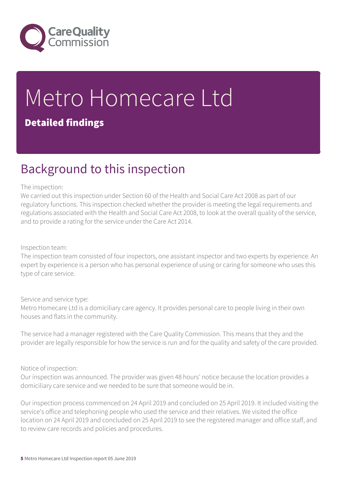

# Metro Homecare Ltd

#### Detailed findings

### Background to this inspection

#### The inspection:

We carried out this inspection under Section 60 of the Health and Social Care Act 2008 as part of our regulatory functions. This inspection checked whether the provider is meeting the legal requirements and regulations associated with the Health and Social Care Act 2008, to look at the overall quality of the service, and to provide a rating for the service under the Care Act 2014.

Inspection team:

The inspection team consisted of four inspectors, one assistant inspector and two experts by experience. An expert by experience is a person who has personal experience of using or caring for someone who uses this type of care service.

Service and service type:

Metro Homecare Ltd is a domiciliary care agency. It provides personal care to people living in their own houses and flats in the community.

The service had a manager registered with the Care Quality Commission. This means that they and the provider are legally responsible for how the service is run and for the quality and safety of the care provided.

#### Notice of inspection:

Our inspection was announced. The provider was given 48 hours' notice because the location provides a domiciliary care service and we needed to be sure that someone would be in.

Our inspection process commenced on 24 April 2019 and concluded on 25 April 2019. It included visiting the service's office and telephoning people who used the service and their relatives. We visited the office location on 24 April 2019 and concluded on 25 April 2019 to see the registered manager and office staff, and to review care records and policies and procedures.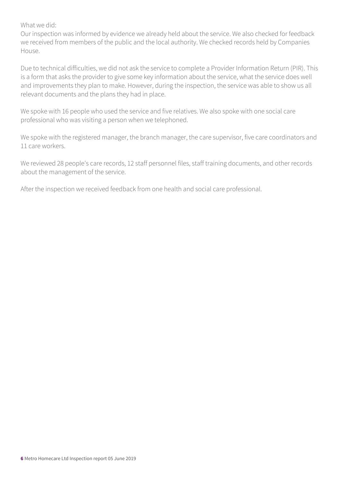#### What we did:

Our inspection was informed by evidence we already held about the service. We also checked for feedback we received from members of the public and the local authority. We checked records held by Companies House.

Due to technical difficulties, we did not ask the service to complete a Provider Information Return (PIR). This is a form that asks the provider to give some key information about the service, what the service does well and improvements they plan to make. However, during the inspection, the service was able to show us all relevant documents and the plans they had in place.

We spoke with 16 people who used the service and five relatives. We also spoke with one social care professional who was visiting a person when we telephoned.

We spoke with the registered manager, the branch manager, the care supervisor, five care coordinators and 11 care workers.

We reviewed 28 people's care records, 12 staff personnel files, staff training documents, and other records about the management of the service.

After the inspection we received feedback from one health and social care professional.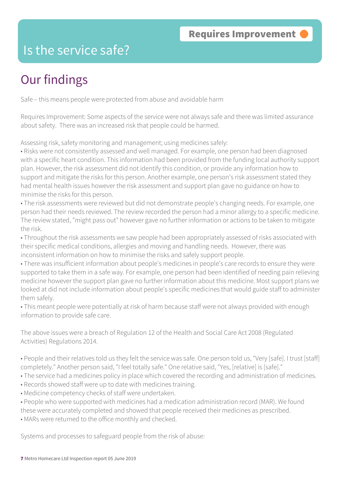### Is the service safe?

### Our findings

Safe – this means people were protected from abuse and avoidable harm

Requires Improvement: Some aspects of the service were not always safe and there was limited assurance about safety. There was an increased risk that people could be harmed.

Assessing risk, safety monitoring and management; using medicines safely:

• Risks were not consistently assessed and well managed. For example, one person had been diagnosed with a specific heart condition. This information had been provided from the funding local authority support plan. However, the risk assessment did not identify this condition, or provide any information how to support and mitigate the risks for this person. Another example, one person's risk assessment stated they had mental health issues however the risk assessment and support plan gave no guidance on how to minimise the risks for this person.

• The risk assessments were reviewed but did not demonstrate people's changing needs. For example, one person had their needs reviewed. The review recorded the person had a minor allergy to a specific medicine. The review stated, "might pass out" however gave no further information or actions to be taken to mitigate the risk.

• Throughout the risk assessments we saw people had been appropriately assessed of risks associated with their specific medical conditions, allergies and moving and handling needs. However, there was inconsistent information on how to minimise the risks and safely support people.

• There was insufficient information about people's medicines in people's care records to ensure they were supported to take them in a safe way. For example, one person had been identified of needing pain relieving medicine however the support plan gave no further information about this medicine. Most support plans we looked at did not include information about people's specific medicines that would guide staff to administer them safely.

• This meant people were potentially at risk of harm because staff were not always provided with enough information to provide safe care.

The above issues were a breach of Regulation 12 of the Health and Social Care Act 2008 (Regulated Activities) Regulations 2014.

• People and their relatives told us they felt the service was safe. One person told us, "Very [safe]. I trust [staff] completely." Another person said, "I feel totally safe." One relative said, "Yes, [relative] is [safe]."

- The service had a medicines policy in place which covered the recording and administration of medicines.
- Records showed staff were up to date with medicines training.
- Medicine competency checks of staff were undertaken.

• People who were supported with medicines had a medication administration record (MAR). We found

these were accurately completed and showed that people received their medicines as prescribed.

• MARs were returned to the office monthly and checked.

Systems and processes to safeguard people from the risk of abuse: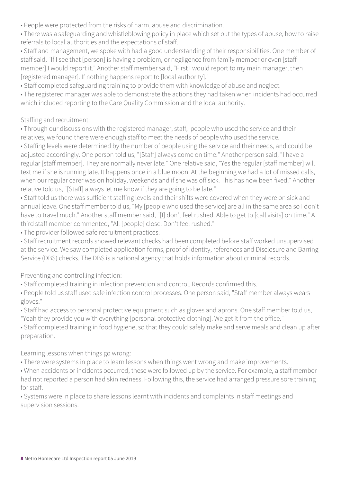- People were protected from the risks of harm, abuse and discrimination.
- There was a safeguarding and whistleblowing policy in place which set out the types of abuse, how to raise referrals to local authorities and the expectations of staff.
- Staff and management, we spoke with had a good understanding of their responsibilities. One member of staff said, "If I see that [person] is having a problem, or negligence from family member or even [staff member] I would report it." Another staff member said, "First I would report to my main manager, then [registered manager]. If nothing happens report to [local authority]."
- Staff completed safeguarding training to provide them with knowledge of abuse and neglect.
- The registered manager was able to demonstrate the actions they had taken when incidents had occurred which included reporting to the Care Quality Commission and the local authority.

#### Staffing and recruitment:

- Through our discussions with the registered manager, staff, people who used the service and their relatives, we found there were enough staff to meet the needs of people who used the service.
- Staffing levels were determined by the number of people using the service and their needs, and could be adjusted accordingly. One person told us, "[Staff] always come on time." Another person said, "I have a regular [staff member]. They are normally never late." One relative said, "Yes the regular [staff member] will text me if she is running late. It happens once in a blue moon. At the beginning we had a lot of missed calls, when our regular carer was on holiday, weekends and if she was off sick. This has now been fixed." Another relative told us, "[Staff] always let me know if they are going to be late."
- Staff told us there was sufficient staffing levels and their shifts were covered when they were on sick and annual leave. One staff member told us, "My [people who used the service] are all in the same area so I don't have to travel much." Another staff member said, "[I] don't feel rushed. Able to get to [call visits] on time." A third staff member commented, "All [people] close. Don't feel rushed."
- The provider followed safe recruitment practices.
- Staff recruitment records showed relevant checks had been completed before staff worked unsupervised at the service. We saw completed application forms, proof of identity, references and Disclosure and Barring Service (DBS) checks. The DBS is a national agency that holds information about criminal records.

#### Preventing and controlling infection:

- Staff completed training in infection prevention and control. Records confirmed this.
- People told us staff used safe infection control processes. One person said, "Staff member always wears gloves."
- Staff had access to personal protective equipment such as gloves and aprons. One staff member told us, "Yeah they provide you with everything [personal protective clothing]. We get it from the office."
- Staff completed training in food hygiene, so that they could safely make and serve meals and clean up after preparation.

#### Learning lessons when things go wrong:

- There were systems in place to learn lessons when things went wrong and make improvements.
- When accidents or incidents occurred, these were followed up by the service. For example, a staff member had not reported a person had skin redness. Following this, the service had arranged pressure sore training for staff.
- Systems were in place to share lessons learnt with incidents and complaints in staff meetings and supervision sessions.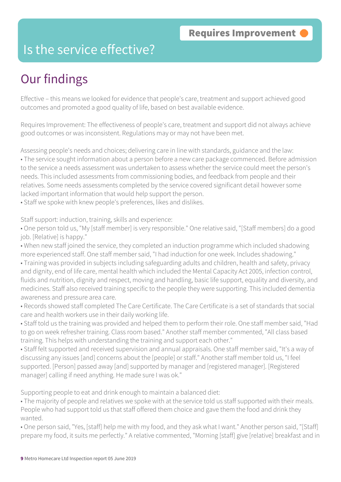### Is the service effective?

### Our findings

Effective – this means we looked for evidence that people's care, treatment and support achieved good outcomes and promoted a good quality of life, based on best available evidence.

Requires Improvement: The effectiveness of people's care, treatment and support did not always achieve good outcomes or was inconsistent. Regulations may or may not have been met.

Assessing people's needs and choices; delivering care in line with standards, guidance and the law: • The service sought information about a person before a new care package commenced. Before admission to the service a needs assessment was undertaken to assess whether the service could meet the person's needs. This included assessments from commissioning bodies, and feedback from people and their relatives. Some needs assessments completed by the service covered significant detail however some lacked important information that would help support the person.

• Staff we spoke with knew people's preferences, likes and dislikes.

Staff support: induction, training, skills and experience:

• One person told us, "My [staff member] is very responsible." One relative said, "[Staff members] do a good job. [Relative] is happy."

• When new staff joined the service, they completed an induction programme which included shadowing more experienced staff. One staff member said, "I had induction for one week. Includes shadowing."

• Training was provided in subjects including safeguarding adults and children, health and safety, privacy and dignity, end of life care, mental health which included the Mental Capacity Act 2005, infection control, fluids and nutrition, dignity and respect, moving and handling, basic life support, equality and diversity, and medicines. Staff also received training specific to the people they were supporting. This included dementia awareness and pressure area care.

• Records showed staff completed The Care Certificate. The Care Certificate is a set of standards that social care and health workers use in their daily working life.

• Staff told us the training was provided and helped them to perform their role. One staff member said, "Had to go on week refresher training. Class room based." Another staff member commented, "All class based training. This helps with understanding the training and support each other."

• Staff felt supported and received supervision and annual appraisals. One staff member said, "It's a way of discussing any issues [and] concerns about the [people] or staff." Another staff member told us, "I feel supported. [Person] passed away [and] supported by manager and [registered manager]. [Registered manager] calling if need anything. He made sure I was ok."

Supporting people to eat and drink enough to maintain a balanced diet:

• The majority of people and relatives we spoke with at the service told us staff supported with their meals. People who had support told us that staff offered them choice and gave them the food and drink they wanted.

• One person said, "Yes, [staff] help me with my food, and they ask what I want." Another person said, "[Staff] prepare my food, it suits me perfectly." A relative commented, "Morning [staff] give [relative] breakfast and in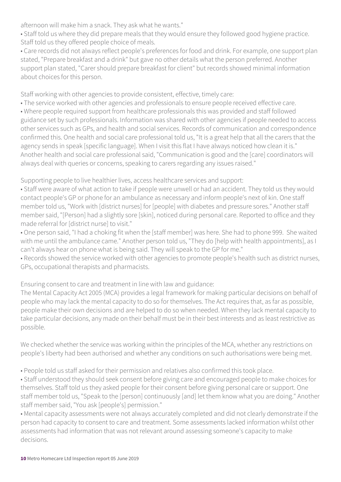afternoon will make him a snack. They ask what he wants."

• Staff told us where they did prepare meals that they would ensure they followed good hygiene practice. Staff told us they offered people choice of meals.

• Care records did not always reflect people's preferences for food and drink. For example, one support plan stated, "Prepare breakfast and a drink" but gave no other details what the person preferred. Another support plan stated, "Carer should prepare breakfast for client" but records showed minimal information about choices for this person.

Staff working with other agencies to provide consistent, effective, timely care:

• The service worked with other agencies and professionals to ensure people received effective care. • Where people required support from healthcare professionals this was provided and staff followed guidance set by such professionals. Information was shared with other agencies if people needed to access other services such as GPs, and health and social services. Records of communication and correspondence confirmed this. One health and social care professional told us, "It is a great help that all the carers that the agency sends in speak [specific language]. When I visit this flat I have always noticed how clean it is." Another health and social care professional said, "Communication is good and the [care] coordinators will always deal with queries or concerns, speaking to carers regarding any issues raised."

Supporting people to live healthier lives, access healthcare services and support:

• Staff were aware of what action to take if people were unwell or had an accident. They told us they would contact people's GP or phone for an ambulance as necessary and inform people's next of kin. One staff member told us, "Work with [district nurses] for [people] with diabetes and pressure sores." Another staff member said, "[Person] had a slightly sore [skin], noticed during personal care. Reported to office and they made referral for [district nurse] to visit."

• One person said, "I had a choking fit when the [staff member] was here. She had to phone 999. She waited with me until the ambulance came." Another person told us, "They do [help with health appointments], as I can't always hear on phone what is being said. They will speak to the GP for me."

• Records showed the service worked with other agencies to promote people's health such as district nurses, GPs, occupational therapists and pharmacists.

Ensuring consent to care and treatment in line with law and guidance:

The Mental Capacity Act 2005 (MCA) provides a legal framework for making particular decisions on behalf of people who may lack the mental capacity to do so for themselves. The Act requires that, as far as possible, people make their own decisions and are helped to do so when needed. When they lack mental capacity to take particular decisions, any made on their behalf must be in their best interests and as least restrictive as possible.

We checked whether the service was working within the principles of the MCA, whether any restrictions on people's liberty had been authorised and whether any conditions on such authorisations were being met.

• People told us staff asked for their permission and relatives also confirmed this took place.

• Staff understood they should seek consent before giving care and encouraged people to make choices for themselves. Staff told us they asked people for their consent before giving personal care or support. One staff member told us, "Speak to the [person] continuously [and] let them know what you are doing." Another staff member said, "You ask [people's] permission."

• Mental capacity assessments were not always accurately completed and did not clearly demonstrate if the person had capacity to consent to care and treatment. Some assessments lacked information whilst other assessments had information that was not relevant around assessing someone's capacity to make decisions.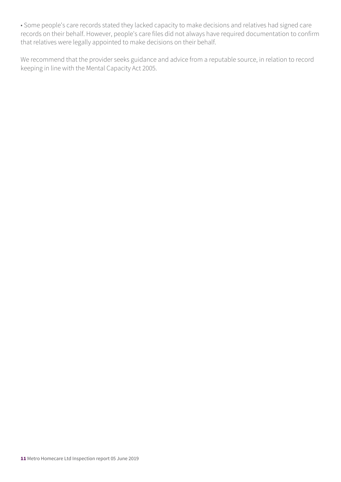• Some people's care records stated they lacked capacity to make decisions and relatives had signed care records on their behalf. However, people's care files did not always have required documentation to confirm that relatives were legally appointed to make decisions on their behalf.

We recommend that the provider seeks guidance and advice from a reputable source, in relation to record keeping in line with the Mental Capacity Act 2005.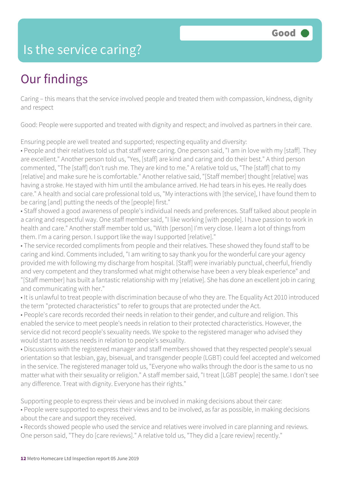### Is the service caring?

### Our findings

Caring – this means that the service involved people and treated them with compassion, kindness, dignity and respect

Good: People were supported and treated with dignity and respect; and involved as partners in their care.

Ensuring people are well treated and supported; respecting equality and diversity:

• People and their relatives told us that staff were caring. One person said, "I am in love with my [staff]. They are excellent." Another person told us, "Yes, [staff] are kind and caring and do their best." A third person commented, "The [staff] don't rush me. They are kind to me." A relative told us, "The [staff] chat to my [relative] and make sure he is comfortable." Another relative said, "[Staff member] thought [relative] was having a stroke. He stayed with him until the ambulance arrived. He had tears in his eyes. He really does care." A health and social care professional told us, "My interactions with [the service], I have found them to be caring [and] putting the needs of the [people] first."

• Staff showed a good awareness of people's individual needs and preferences. Staff talked about people in a caring and respectful way. One staff member said, "I like working [with people]. I have passion to work in health and care." Another staff member told us, "With [person] I'm very close. I learn a lot of things from them. I'm a caring person. I support like the way I supported [relative]."

• The service recorded compliments from people and their relatives. These showed they found staff to be caring and kind. Comments included, "I am writing to say thank you for the wonderful care your agency provided me with following my discharge from hospital. [Staff] were invariably punctual, cheerful, friendly and very competent and they transformed what might otherwise have been a very bleak experience" and "[Staff member] has built a fantastic relationship with my [relative]. She has done an excellent job in caring and communicating with her."

• It is unlawful to treat people with discrimination because of who they are. The Equality Act 2010 introduced the term "protected characteristics" to refer to groups that are protected under the Act.

• People's care records recorded their needs in relation to their gender, and culture and religion. This enabled the service to meet people's needs in relation to their protected characteristics. However, the service did not record people's sexuality needs. We spoke to the registered manager who advised they would start to assess needs in relation to people's sexuality.

• Discussions with the registered manager and staff members showed that they respected people's sexual orientation so that lesbian, gay, bisexual, and transgender people (LGBT) could feel accepted and welcomed in the service. The registered manager told us, "Everyone who walks through the door is the same to us no matter what with their sexuality or religion." A staff member said, "I treat [LGBT people] the same. I don't see any difference. Treat with dignity. Everyone has their rights."

Supporting people to express their views and be involved in making decisions about their care:

• People were supported to express their views and to be involved, as far as possible, in making decisions about the care and support they received.

• Records showed people who used the service and relatives were involved in care planning and reviews. One person said, "They do [care reviews]." A relative told us, "They did a [care review] recently."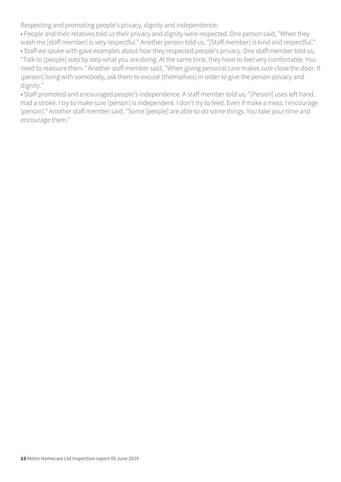Respecting and promoting people's privacy, dignity and independence:

• People and their relatives told us their privacy and dignity were respected. One person said, "When they wash me [staff member] is very respectful." Another person told us, "[Staff member] is kind and respectful."

• Staff we spoke with gave examples about how they respected people's privacy. One staff member told us, "Talk to [people] step by step what you are doing. At the same time, they have to feel very comfortable. You need to reassure them." Another staff member said, "When giving personal care makes sure close the door. If [person] living with somebody, ask them to excuse [themselves] in order to give the person privacy and dignity."

• Staff promoted and encouraged people's independence. A staff member told us, "[Person] uses left hand. Had a stroke. I try to make sure [person] is independent. I don't try to feed. Even if make a mess. I encourage [person]." Another staff member said, "Some [people] are able to do some things. You take your time and encourage them."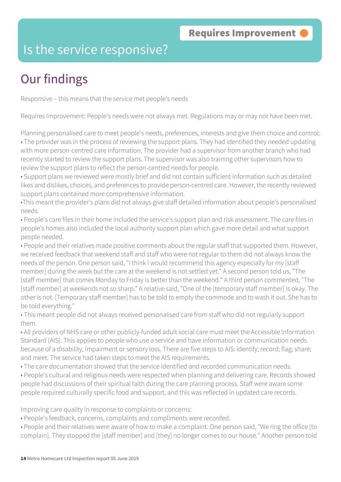#### Is the service responsive?

### Our findings

Responsive – this means that the service met people's needs

Requires Improvement: People's needs were not always met. Regulations may or may not have been met.

Planning personalised care to meet people's needs, preferences, interests and give them choice and control: • The provider was in the process of reviewing the support plans. They had identified they needed updating with more person-centred care information. The provider had a supervisor from another branch who had recently started to review the support plans. The supervisor was also training other supervisors how to review the support plans to reflect the person-centred needs for people.

• Support plans we reviewed were mostly brief and did not contain sufficient information such as detailed likes and dislikes, choices, and preferences to provide person-centred care. However, the recently reviewed support plans contained more comprehensive information.

•This meant the provider's plans did not always give staff detailed information about people's personalised needs.

• People's care files in their home included the service's support plan and risk assessment. The care files in people's homes also included the local authority support plan which gave more detail and what support people needed.

• People and their relatives made positive comments about the regular staff that supported them. However, we received feedback that weekend staff and staff who were not regular to them did not always know the needs of the person. One person said, "I think I would recommend this agency especially for my [staff member] during the week but the care at the weekend is not settled yet." A second person told us, "The [staff member] that comes Monday to Friday is better than the weekend." A third person commented, "The [staff member] at weekends not so sharp." A relative said, "One of the [temporary staff member] is okay. The other is not. [Temporary staff member] has to be told to empty the commode and to wash it out. She has to be told everything."

• This meant people did not always received personalised care from staff who did not regularly support them.

• All providers of NHS care or other publicly-funded adult social care must meet the Accessible Information Standard (AIS). This applies to people who use a service and have information or communication needs because of a disability, impairment or sensory loss. There are five steps to AIS: identify; record; flag; share; and meet. The service had taken steps to meet the AIS requirements.

• The care documentation showed that the service identified and recorded communication needs.

• People's cultural and religious needs were respected when planning and delivering care. Records showed people had discussions of their spiritual faith during the care planning process. Staff were aware some people required culturally specific food and support, and this was reflected in updated care records.

Improving care quality in response to complaints or concerns:

• People's feedback, concerns, complaints and compliments were recorded.

• People and their relatives were aware of how to make a complaint. One person said, "We ring the office [to complain]. They stopped the [staff member] and [they] no longer comes to our house." Another person told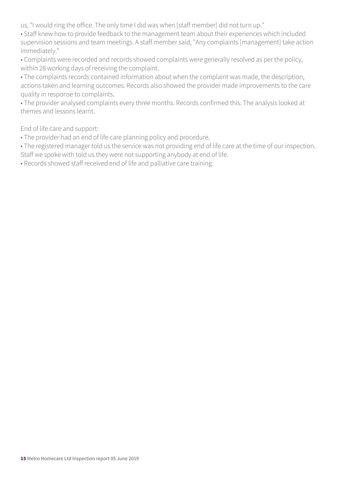us, "I would ring the office. The only time I did was when [staff member] did not turn up."

• Staff knew how to provide feedback to the management team about their experiences which included supervision sessions and team meetings. A staff member said, "Any complaints [management] take action immediately."

• Complaints were recorded and records showed complaints were generally resolved as per the policy, within 28 working days of receiving the complaint.

• The complaints records contained information about when the complaint was made, the description, actions taken and learning outcomes. Records also showed the provider made improvements to the care quality in response to complaints.

• The provider analysed complaints every three months. Records confirmed this. The analysis looked at themes and lessons learnt.

End of life care and support:

- The provider had an end of life care planning policy and procedure.
- The registered manager told us the service was not providing end of life care at the time of our inspection. Staff we spoke with told us they were not supporting anybody at end of life.

• Records showed staff received end of life and palliative care training.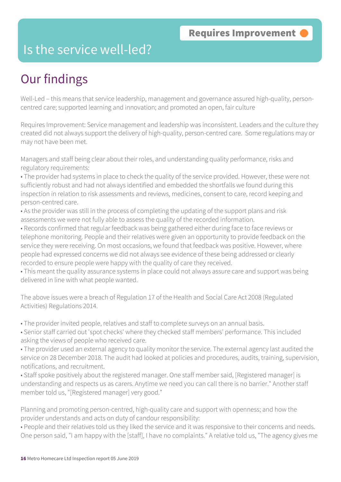### Is the service well-led?

### Our findings

Well-Led – this means that service leadership, management and governance assured high-quality, personcentred care; supported learning and innovation; and promoted an open, fair culture

Requires Improvement: Service management and leadership was inconsistent. Leaders and the culture they created did not always support the delivery of high-quality, person-centred care. Some regulations may or may not have been met.

Managers and staff being clear about their roles, and understanding quality performance, risks and regulatory requirements:

• The provider had systems in place to check the quality of the service provided. However, these were not sufficiently robust and had not always identified and embedded the shortfalls we found during this inspection in relation to risk assessments and reviews, medicines, consent to care, record keeping and person-centred care.

• As the provider was still in the process of completing the updating of the support plans and risk assessments we were not fully able to assess the quality of the recorded information.

• Records confirmed that regular feedback was being gathered either during face to face reviews or telephone monitoring. People and their relatives were given an opportunity to provide feedback on the service they were receiving. On most occasions, we found that feedback was positive. However, where people had expressed concerns we did not always see evidence of these being addressed or clearly recorded to ensure people were happy with the quality of care they received.

• This meant the quality assurance systems in place could not always assure care and support was being delivered in line with what people wanted.

The above issues were a breach of Regulation 17 of the Health and Social Care Act 2008 (Regulated Activities) Regulations 2014.

• The provider invited people, relatives and staff to complete surveys on an annual basis.

• Senior staff carried out 'spot checks' where they checked staff members' performance. This included asking the views of people who received care.

• The provider used an external agency to quality monitor the service. The external agency last audited the service on 28 December 2018. The audit had looked at policies and procedures, audits, training, supervision, notifications, and recruitment.

• Staff spoke positively about the registered manager. One staff member said, [Registered manager] is understanding and respects us as carers. Anytime we need you can call there is no barrier." Another staff member told us, "[Registered manager] very good."

Planning and promoting person-centred, high-quality care and support with openness; and how the provider understands and acts on duty of candour responsibility:

• People and their relatives told us they liked the service and it was responsive to their concerns and needs. One person said, "I am happy with the [staff], I have no complaints." A relative told us, "The agency gives me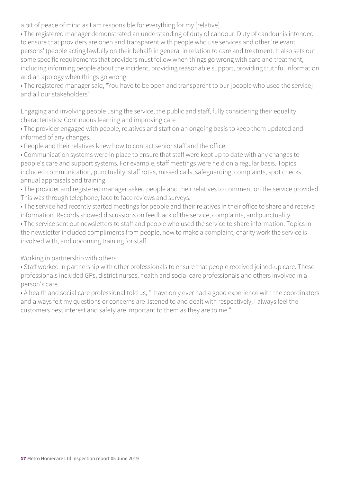a bit of peace of mind as I am responsible for everything for my [relative]."

• The registered manager demonstrated an understanding of duty of candour. Duty of candour is intended to ensure that providers are open and transparent with people who use services and other 'relevant persons' (people acting lawfully on their behalf) in general in relation to care and treatment. It also sets out some specific requirements that providers must follow when things go wrong with care and treatment, including informing people about the incident, providing reasonable support, providing truthful information and an apology when things go wrong.

• The registered manager said, "You have to be open and transparent to our [people who used the service] and all our stakeholders"

Engaging and involving people using the service, the public and staff, fully considering their equality characteristics; Continuous learning and improving care

• The provider engaged with people, relatives and staff on an ongoing basis to keep them updated and informed of any changes.

• People and their relatives knew how to contact senior staff and the office.

• Communication systems were in place to ensure that staff were kept up to date with any changes to people's care and support systems. For example, staff meetings were held on a regular basis. Topics included communication, punctuality, staff rotas, missed calls, safeguarding, complaints, spot checks, annual appraisals and training.

• The provider and registered manager asked people and their relatives to comment on the service provided. This was through telephone, face to face reviews and surveys.

• The service had recently started meetings for people and their relatives in their office to share and receive information. Records showed discussions on feedback of the service, complaints, and punctuality.

• The service sent out newsletters to staff and people who used the service to share information. Topics in the newsletter included compliments from people, how to make a complaint, charity work the service is involved with, and upcoming training for staff.

Working in partnership with others:

• Staff worked in partnership with other professionals to ensure that people received joined-up care. These professionals included GPs, district nurses, health and social care professionals and others involved in a person's care.

• A health and social care professional told us, "I have only ever had a good experience with the coordinators and always felt my questions or concerns are listened to and dealt with respectively, I always feel the customers best interest and safety are important to them as they are to me."